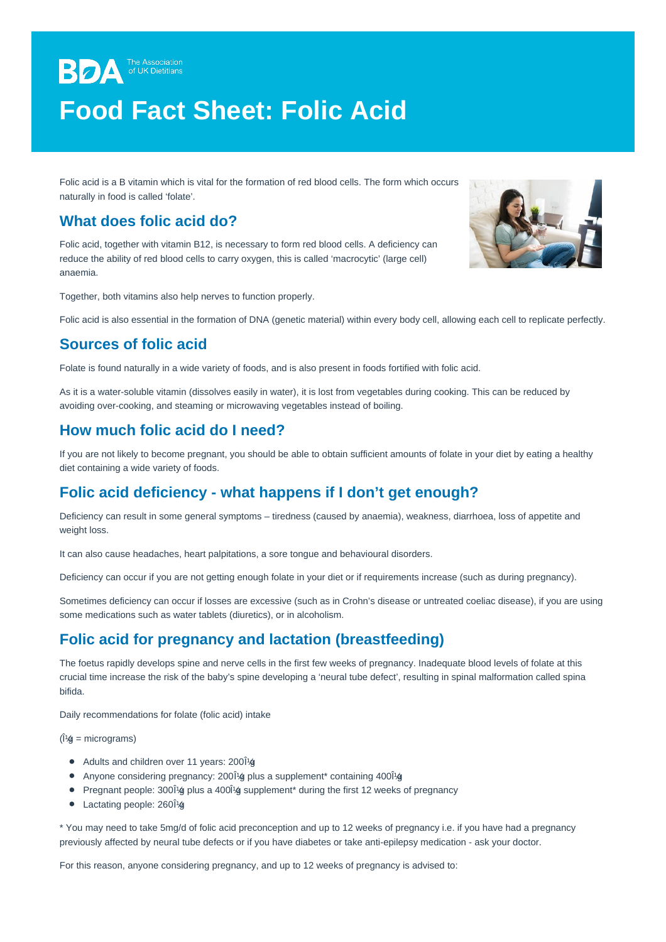# **BDA** The Association **Food Fact Sheet: Folic Acid**

Folic acid is a B vitamin which is vital for the formation of red blood cells. The form which occurs naturally in food is called 'folate'.

## **What does folic acid do?**

Folic acid, together with vitamin B12, is necessary to form red blood cells. A deficiency can reduce the ability of red blood cells to carry oxygen, this is called 'macrocytic' (large cell) anaemia.

Together, both vitamins also help nerves to function properly.

Folic acid is also essential in the formation of DNA (genetic material) within every body cell, allowing each cell to replicate perfectly.

## **Sources of folic acid**

Folate is found naturally in a wide variety of foods, and is also present in foods fortified with folic acid.

As it is a water-soluble vitamin (dissolves easily in water), it is lost from vegetables during cooking. This can be reduced by avoiding over-cooking, and steaming or microwaving vegetables instead of boiling.

## **How much folic acid do I need?**

If you are not likely to become pregnant, you should be able to obtain sufficient amounts of folate in your diet by eating a healthy diet containing a wide variety of foods.

## **Folic acid deficiency - what happens if I don't get enough?**

Deficiency can result in some general symptoms – tiredness (caused by anaemia), weakness, diarrhoea, loss of appetite and weight loss.

It can also cause headaches, heart palpitations, a sore tongue and behavioural disorders.

Deficiency can occur if you are not getting enough folate in your diet or if requirements increase (such as during pregnancy).

Sometimes deficiency can occur if losses are excessive (such as in Crohn's disease or untreated coeliac disease), if you are using some medications such as water tablets (diuretics), or in alcoholism.

### **Folic acid for pregnancy and lactation (breastfeeding)**

The foetus rapidly develops spine and nerve cells in the first few weeks of pregnancy. Inadequate blood levels of folate at this crucial time increase the risk of the baby's spine developing a 'neural tube defect', resulting in spinal malformation called spina bifida.

Daily recommendations for folate (folic acid) intake

 $(1/4)$  = micrograms)

- Adults and children over 11 years: 20014
- Anyone considering pregnancy: 2001<sup>g</sup> plus a supplement\* containing 4001<sup>g</sup>
- Pregnant people:  $300i$  (g plus a  $400i$  (g supplement\* during the first 12 weeks of pregnancy
- $\bullet$  Lactating people: 260 $\hat{a}$

\* You may need to take 5mg/d of folic acid preconception and up to 12 weeks of pregnancy i.e. if you have had a pregnancy previously affected by neural tube defects or if you have diabetes or take anti-epilepsy medication - ask your doctor.

For this reason, anyone considering pregnancy, and up to 12 weeks of pregnancy is advised to: